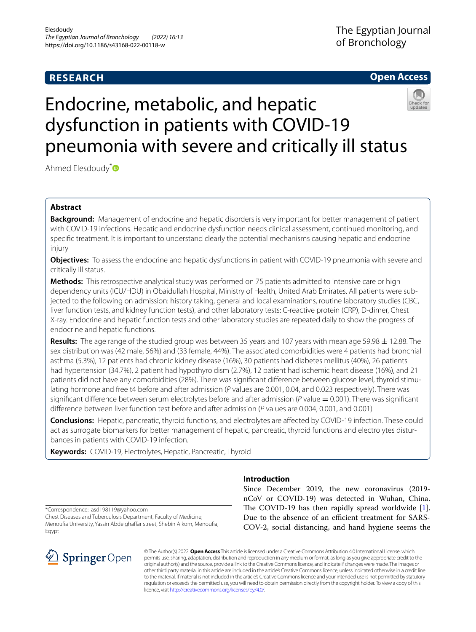# **RESEARCH**

# **Open Access**



# Endocrine, metabolic, and hepatic dysfunction in patients with COVID-19 pneumonia with severe and critically ill status

Ahmed Elesdoudy<sup>[\\*](http://orcid.org/0000-0002-1493-7190)</sup>

# **Abstract**

**Background:** Management of endocrine and hepatic disorders is very important for better management of patient with COVID-19 infections. Hepatic and endocrine dysfunction needs clinical assessment, continued monitoring, and specifc treatment. It is important to understand clearly the potential mechanisms causing hepatic and endocrine injury

**Objectives:** To assess the endocrine and hepatic dysfunctions in patient with COVID-19 pneumonia with severe and critically ill status.

**Methods:** This retrospective analytical study was performed on 75 patients admitted to intensive care or high dependency units (ICU/HDU) in Obaidullah Hospital, Ministry of Health, United Arab Emirates. All patients were subjected to the following on admission: history taking, general and local examinations, routine laboratory studies (CBC, liver function tests, and kidney function tests), and other laboratory tests: C-reactive protein (CRP), D-dimer, Chest X-ray. Endocrine and hepatic function tests and other laboratory studies are repeated daily to show the progress of endocrine and hepatic functions.

**Results:** The age range of the studied group was between 35 years and 107 years with mean age 59.98 ± 12.88. The sex distribution was (42 male, 56%) and (33 female, 44%). The associated comorbidities were 4 patients had bronchial asthma (5.3%), 12 patients had chronic kidney disease (16%), 30 patients had diabetes mellitus (40%), 26 patients had hypertension (34.7%), 2 patient had hypothyroidism (2.7%), 12 patient had ischemic heart disease (16%), and 21 patients did not have any comorbidities (28%). There was signifcant diference between glucose level, thyroid stimulating hormone and free t4 before and after admission (*P* values are 0.001, 0.04, and 0.023 respectively). There was significant difference between serum electrolytes before and after admission ( $P$  value  $= 0.001$ ). There was significant diference between liver function test before and after admission (*P* values are 0.004, 0.001, and 0.001)

**Conclusions:** Hepatic, pancreatic, thyroid functions, and electrolytes are afected by COVID-19 infection. These could act as surrogate biomarkers for better management of hepatic, pancreatic, thyroid functions and electrolytes disturbances in patients with COVID-19 infection.

**Keywords:** COVID-19, Electrolytes, Hepatic, Pancreatic, Thyroid

\*Correspondence: asd198119@yahoo.com

Chest Diseases and Tuberculosis Department, Faculty of Medicine, Menoufia University, Yassin Abdelghaffar street, Shebin Alkom, Menoufia, **Egypt** 



# **Introduction**

Since December 2019, the new coronavirus (2019 nCoV or COVID-19) was detected in Wuhan, China. The COVID-19 has then rapidly spread worldwide  $[1]$  $[1]$ . Due to the absence of an efficient treatment for SARS-COV-2, social distancing, and hand hygiene seems the

© The Author(s) 2022. **Open Access** This article is licensed under a Creative Commons Attribution 4.0 International License, which permits use, sharing, adaptation, distribution and reproduction in any medium or format, as long as you give appropriate credit to the original author(s) and the source, provide a link to the Creative Commons licence, and indicate if changes were made. The images or other third party material in this article are included in the article's Creative Commons licence, unless indicated otherwise in a credit line to the material. If material is not included in the article's Creative Commons licence and your intended use is not permitted by statutory regulation or exceeds the permitted use, you will need to obtain permission directly from the copyright holder. To view a copy of this licence, visit [http://creativecommons.org/licenses/by/4.0/.](http://creativecommons.org/licenses/by/4.0/)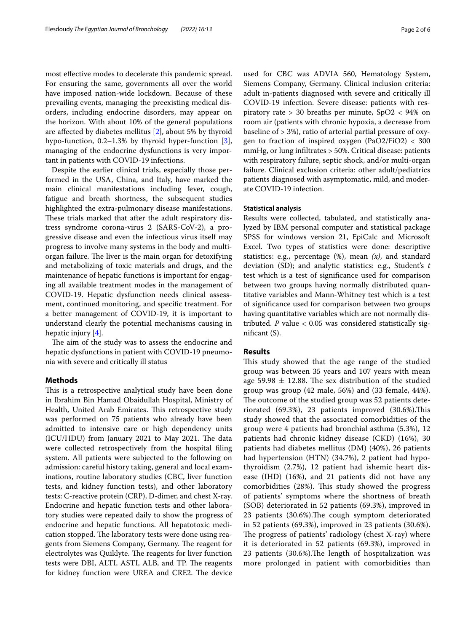most efective modes to decelerate this pandemic spread. For ensuring the same, governments all over the world have imposed nation-wide lockdown. Because of these prevailing events, managing the preexisting medical disorders, including endocrine disorders, may appear on the horizon. With about 10% of the general populations are afected by diabetes mellitus [[2](#page-5-1)], about 5% by thyroid hypo-function, 0.2–1.3% by thyroid hyper-function [\[3](#page-5-2)], managing of the endocrine dysfunctions is very important in patients with COVID-19 infections.

Despite the earlier clinical trials, especially those performed in the USA, China, and Italy, have marked the main clinical manifestations including fever, cough, fatigue and breath shortness, the subsequent studies highlighted the extra-pulmonary disease manifestations. These trials marked that after the adult respiratory distress syndrome corona-virus 2 (SARS-CoV-2), a progressive disease and even the infectious virus itself may progress to involve many systems in the body and multiorgan failure. The liver is the main organ for detoxifying and metabolizing of toxic materials and drugs, and the maintenance of hepatic functions is important for engaging all available treatment modes in the management of COVID-19. Hepatic dysfunction needs clinical assessment, continued monitoring, and specifc treatment. For a better management of COVID-19, it is important to understand clearly the potential mechanisms causing in hepatic injury [[4\]](#page-5-3).

The aim of the study was to assess the endocrine and hepatic dysfunctions in patient with COVID-19 pneumonia with severe and critically ill status

# **Methods**

This is a retrospective analytical study have been done in Ibrahim Bin Hamad Obaidullah Hospital, Ministry of Health, United Arab Emirates. This retrospective study was performed on 75 patients who already have been admitted to intensive care or high dependency units (ICU/HDU) from January 2021 to May 2021. The data were collected retrospectively from the hospital fling system. All patients were subjected to the following on admission: careful history taking, general and local examinations, routine laboratory studies (CBC, liver function tests, and kidney function tests), and other laboratory tests: C-reactive protein (CRP), D-dimer, and chest X-ray. Endocrine and hepatic function tests and other laboratory studies were repeated daily to show the progress of endocrine and hepatic functions. All hepatotoxic medication stopped. The laboratory tests were done using reagents from Siemens Company, Germany. The reagent for electrolytes was Quiklyte. The reagents for liver function tests were DBI, ALTI, ASTI, ALB, and TP. The reagents for kidney function were UREA and CRE2. The device used for CBC was ADVIA 560, Hematology System, Siemens Company, Germany. Clinical inclusion criteria: adult in-patients diagnosed with severe and critically ill COVID-19 infection. Severe disease: patients with respiratory rate > 30 breaths per minute, SpO2 < 94% on room air (patients with chronic hypoxia, a decrease from baseline of > 3%), ratio of arterial partial pressure of oxygen to fraction of inspired oxygen (PaO2/FiO2)  $<$  300 mmHg, or lung infltrates > 50%. Critical disease: patients with respiratory failure, septic shock, and/or multi-organ failure. Clinical exclusion criteria: other adult/pediatrics patients diagnosed with asymptomatic, mild, and moderate COVID-19 infection.

# **Statistical analysis**

Results were collected, tabulated, and statistically analyzed by IBM personal computer and statistical package SPSS for windows version 21, EpiCalc and Microsoft Excel. Two types of statistics were done: descriptive statistics: e.g., percentage (%), mean *(x)*, and standard deviation (SD); and analytic statistics: e.g., Student's *t* test which is a test of signifcance used for comparison between two groups having normally distributed quantitative variables and Mann-Whitney test which is a test of signifcance used for comparison between two groups having quantitative variables which are not normally distributed. *P* value < 0.05 was considered statistically signifcant (S).

# **Results**

This study showed that the age range of the studied group was between 35 years and 107 years with mean age 59.98  $\pm$  12.88. The sex distribution of the studied group was group (42 male, 56%) and (33 female, 44%). The outcome of the studied group was 52 patients deteriorated (69.3%), 23 patients improved (30.6%). This study showed that the associated comorbidities of the group were 4 patients had bronchial asthma (5.3%), 12 patients had chronic kidney disease (CKD) (16%), 30 patients had diabetes mellitus (DM) (40%), 26 patients had hypertension (HTN) (34.7%), 2 patient had hypothyroidism (2.7%), 12 patient had ishemic heart disease (IHD) (16%), and 21 patients did not have any comorbidities (28%). This study showed the progress of patients' symptoms where the shortness of breath (SOB) deteriorated in 52 patients (69.3%), improved in 23 patients (30.6%). The cough symptom deteriorated in 52 patients (69.3%), improved in 23 patients (30.6%). The progress of patients' radiology (chest X-ray) where it is deteriorated in 52 patients (69.3%), improved in 23 patients (30.6%). The length of hospitalization was more prolonged in patient with comorbidities than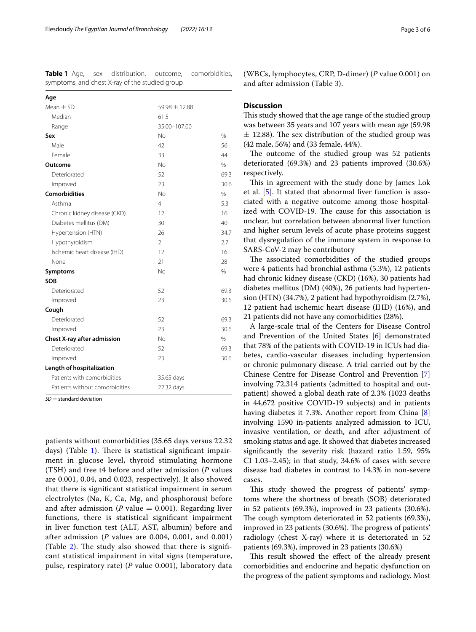<span id="page-2-0"></span>**Table 1** Age, sex distribution, outcome, comorbidities, symptoms, and chest X-ray of the studied group

| Age                            |                |               |
|--------------------------------|----------------|---------------|
| Mean $\pm$ SD                  | 59.98 ± 12.88  |               |
| Median                         | 61.5           |               |
| Range                          | 35.00-107.00   |               |
| Sex                            | No             | %             |
| Male                           | 42             | 56            |
| Female                         | 33             | 44            |
| Outcome                        | No             | $\frac{0}{0}$ |
| Deteriorated                   | 52             | 69.3          |
| Improved                       | 23             | 30.6          |
| <b>Comorbidities</b>           | No             | $\frac{0}{0}$ |
| Asthma                         | 4              | 5.3           |
| Chronic kidney disease (CKD)   | 12             | 16            |
| Diabetes mellitus (DM)         | 30             | 40            |
| Hypertension (HTN)             | 26             | 34.7          |
| Hypothyroidism                 | $\overline{2}$ | 2.7           |
| Ischemic heart disease (IHD)   | 12             | 16            |
| None                           | 21             | 28            |
| Symptoms                       | <b>No</b>      | $\%$          |
| <b>SOB</b>                     |                |               |
| Deteriorated                   | 52             | 69.3          |
| Improved                       | 23             | 30.6          |
| Cough                          |                |               |
| Deteriorated                   | 52             | 69.3          |
| Improved                       | 23             | 30.6          |
| Chest X-ray after admission    | No             | $\frac{0}{0}$ |
| Deteriorated                   | 52             | 69.3          |
| Improved                       | 23             | 30.6          |
| Length of hospitalization      |                |               |
| Patients with comorbidities    | 35.65 days     |               |
| Patients without comorbidities | 22.32 days     |               |

*SD* = standard deviation

patients without comorbidities (35.65 days versus 22.32 days) (Table [1](#page-2-0)). There is statistical significant impairment in glucose level, thyroid stimulating hormone (TSH) and free t4 before and after admission (*P* values are 0.001, 0.04, and 0.023, respectively). It also showed that there is signifcant statistical impairment in serum electrolytes (Na, K, Ca, Mg, and phosphorous) before and after admission ( $P$  value  $= 0.001$ ). Regarding liver functions, there is statistical signifcant impairment in liver function test (ALT, AST, albumin) before and after admission (*P* values are 0.004, 0.001, and 0.001) (Table  $2$ ). The study also showed that there is significant statistical impairment in vital signs (temperature, pulse, respiratory rate) (*P* value 0.001), laboratory data

(WBCs, lymphocytes, CRP, D-dimer) (*P* value 0.001) on and after admission (Table [3\)](#page-3-1).

# **Discussion**

This study showed that the age range of the studied group was between 35 years and 107 years with mean age (59.98  $\pm$  12.88). The sex distribution of the studied group was (42 male, 56%) and (33 female, 44%).

The outcome of the studied group was 52 patients deteriorated (69.3%) and 23 patients improved (30.6%) respectively.

This in agreement with the study done by James Lok et al. [\[5](#page-5-4)]. It stated that abnormal liver function is associated with a negative outcome among those hospitalized with COVID-19. The cause for this association is unclear, but correlation between abnormal liver function and higher serum levels of acute phase proteins suggest that dysregulation of the immune system in response to SARS-CoV-2 may be contributory

The associated comorbidities of the studied groups were 4 patients had bronchial asthma (5.3%), 12 patients had chronic kidney disease (CKD) (16%), 30 patients had diabetes mellitus (DM) (40%), 26 patients had hypertension (HTN) (34.7%), 2 patient had hypothyroidism (2.7%), 12 patient had ischemic heart disease (IHD) (16%), and 21 patients did not have any comorbidities (28%).

A large-scale trial of the Centers for Disease Control and Prevention of the United States [\[6\]](#page-5-5) demonstrated that 78% of the patients with COVID-19 in ICUs had diabetes, cardio-vascular diseases including hypertension or chronic pulmonary disease. A trial carried out by the Chinese Centre for Disease Control and Prevention [\[7](#page-5-6)] involving 72,314 patients (admitted to hospital and outpatient) showed a global death rate of 2.3% (1023 deaths in 44,672 positive COVID-19 subjects) and in patients having diabetes it 7.3%. Another report from China [\[8](#page-5-7)] involving 1590 in-patients analyzed admission to ICU, invasive ventilation, or death, and after adjustment of smoking status and age. It showed that diabetes increased signifcantly the severity risk (hazard ratio 1.59, 95% CI 1.03–2.45); in that study, 34.6% of cases with severe disease had diabetes in contrast to 14.3% in non-severe cases.

This study showed the progress of patients' symptoms where the shortness of breath (SOB) deteriorated in 52 patients (69.3%), improved in 23 patients (30.6%). The cough symptom deteriorated in 52 patients (69.3%), improved in 23 patients (30.6%). The progress of patients' radiology (chest X-ray) where it is deteriorated in 52 patients (69.3%), improved in 23 patients (30.6%)

This result showed the effect of the already present comorbidities and endocrine and hepatic dysfunction on the progress of the patient symptoms and radiology. Most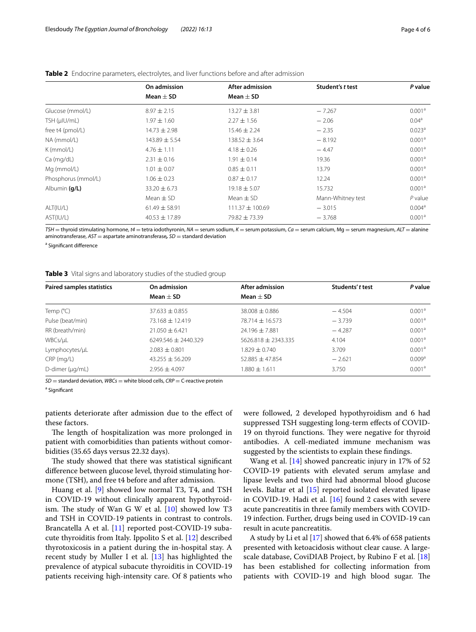|                     | On admission      | After admission     | Student's t test  | P value            |
|---------------------|-------------------|---------------------|-------------------|--------------------|
|                     | Mean $\pm$ SD     | Mean $\pm$ SD       |                   |                    |
| Glucose (mmol/L)    | $8.97 \pm 2.15$   | $13.27 \pm 3.81$    | $-7.267$          | 0.001 <sup>a</sup> |
| TSH (µIU/mL)        | $1.97 \pm 1.60$   | $2.27 \pm 1.56$     | $-2.06$           | 0.04 <sup>a</sup>  |
| free t4 (pmol/L)    | $14.73 \pm 2.98$  | $15.46 \pm 2.24$    | $-2.35$           | 0.023 <sup>a</sup> |
| NA (mmol/L)         | $143.89 \pm 5.54$ | $138.52 \pm 3.64$   | $-8.192$          | 0.001 <sup>a</sup> |
| $K$ (mmol/L)        | $4.76 \pm 1.11$   | $4.18 \pm 0.26$     | $-4.47$           | 0.001 <sup>a</sup> |
| Ca (mg/dL)          | $2.31 \pm 0.16$   | $1.91 \pm 0.14$     | 19.36             | 0.001 <sup>a</sup> |
| Mg (mmol/L)         | $1.01 \pm 0.07$   | $0.85 \pm 0.11$     | 13.79             | 0.001 <sup>a</sup> |
| Phosphorus (mmol/L) | $1.06 \pm 0.23$   | $0.87 \pm 0.17$     | 12.24             | 0.001 <sup>a</sup> |
| Albumin (g/L)       | $33.20 \pm 6.73$  | $19.18 \pm 5.07$    | 15.732            | 0.001 <sup>a</sup> |
|                     | Mean $\pm$ SD     | Mean $\pm$ SD       | Mann-Whitney test | $P$ value          |
| ALT(IU/L)           | $61.49 \pm 58.91$ | $111.37 \pm 100.69$ | $-3.015$          | 0.004 <sup>a</sup> |
| AST(IU/L)           | $40.53 \pm 17.89$ | $79.82 \pm 73.39$   | $-3.768$          | 0.001 <sup>a</sup> |

# <span id="page-3-0"></span>**Table 2** Endocrine parameters, electrolytes, and liver functions before and after admission

*TSH* = thyroid stimulating hormone, *t4* = tetra iodothyronin, *NA* = serum sodium, *K* = serum potassium, *Ca* = serum calcium, Mg = serum magnesium, *ALT* = alanine aminotransferase, *AST* = aspartate aminotransferase*, SD* = standard deviation

<sup>a</sup> Significant difference

## <span id="page-3-1"></span>**Table 3** Vital signs and laboratory studies of the studied group

| <b>Paired samples statistics</b> | On admission          | After admission       | Students' t test | P value            |
|----------------------------------|-----------------------|-----------------------|------------------|--------------------|
|                                  | Mean $+$ SD           | Mean $\pm$ SD         |                  |                    |
| Temp $(^{\circ}C)$               | $37.633 \pm 0.855$    | $38.008 \pm 0.886$    | $-4.504$         | 0.001 <sup>a</sup> |
| Pulse (beat/min)                 | 73.168 ± 12.419       | $78.714 + 16.573$     | $-3.739$         | 0.001 <sup>a</sup> |
| RR (breath/min)                  | $21.050 + 6.421$      | $24.196 \pm 7.881$    | $-4.287$         | 0.001 <sup>a</sup> |
| WBCs/µL                          | $6249.546 + 2440.329$ | $5626.818 + 2343.335$ | 4.104            | 0.001 <sup>a</sup> |
| Lymphocytes/µL                   | $2.083 + 0.801$       | $.829 + 0.740$        | 3.709            | 0.001 <sup>a</sup> |
| $CRP$ (mg/L)                     | $43.255 \pm 56.209$   | $52.885 + 47.854$     | $-2.621$         | 0.009 <sup>a</sup> |
| $D$ -dimer ( $\mu q/mL$ )        | $2.956 \pm 4.097$     | $.880 \pm 1.611$      | 3.750            | 0.001 <sup>a</sup> |

*SD* = standard deviation, *WBCs* = white blood cells, *CRP* = C-reactive protein

<sup>a</sup> Significant

patients deteriorate after admission due to the efect of these factors.

The length of hospitalization was more prolonged in patient with comorbidities than patients without comorbidities (35.65 days versus 22.32 days).

The study showed that there was statistical significant diference between glucose level, thyroid stimulating hormone (TSH), and free t4 before and after admission.

Huang et al. [\[9](#page-5-8)] showed low normal T3, T4, and TSH in COVID-19 without clinically apparent hypothyroidism. The study of Wan G W et al.  $[10]$  $[10]$  showed low T3 and TSH in COVID-19 patients in contrast to controls. Brancatella A et al. [\[11\]](#page-5-10) reported post-COVID-19 subacute thyroiditis from Italy. Ippolito S et al. [\[12\]](#page-5-11) described thyrotoxicosis in a patient during the in-hospital stay. A recent study by Muller I et al. [[13](#page-5-12)] has highlighted the prevalence of atypical subacute thyroiditis in COVID-19 patients receiving high-intensity care. Of 8 patients who were followed, 2 developed hypothyroidism and 6 had suppressed TSH suggesting long-term efects of COVID-19 on thyroid functions. They were negative for thyroid antibodies. A cell-mediated immune mechanism was suggested by the scientists to explain these fndings.

Wang et al. [\[14](#page-5-13)] showed pancreatic injury in 17% of 52 COVID-19 patients with elevated serum amylase and lipase levels and two third had abnormal blood glucose levels. Baltar et al [[15\]](#page-5-14) reported isolated elevated lipase in COVID-19. Hadi et al. [[16\]](#page-5-15) found 2 cases with severe acute pancreatitis in three family members with COVID-19 infection. Further, drugs being used in COVID-19 can result in acute pancreatitis.

A study by Li et al [[17\]](#page-5-16) showed that 6.4% of 658 patients presented with ketoacidosis without clear cause. A largescale database, CoviDIAB Project, by Rubino F et al. [[18](#page-5-17)] has been established for collecting information from patients with COVID-19 and high blood sugar. The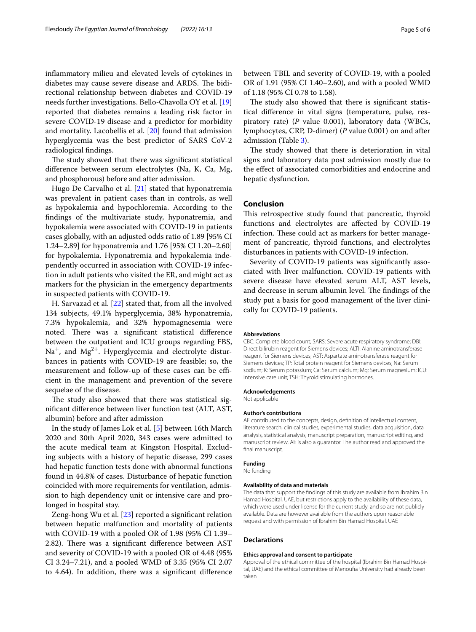infammatory milieu and elevated levels of cytokines in diabetes may cause severe disease and ARDS. The bidirectional relationship between diabetes and COVID-19 needs further investigations. Bello-Chavolla OY et al. [[19](#page-5-18)] reported that diabetes remains a leading risk factor in severe COVID-19 disease and a predictor for morbidity and mortality. Lacobellis et al. [\[20\]](#page-5-19) found that admission hyperglycemia was the best predictor of SARS CoV-2 radiological fndings.

The study showed that there was significant statistical diference between serum electrolytes (Na, K, Ca, Mg, and phosphorous) before and after admission.

Hugo De Carvalho et al. [\[21\]](#page-5-20) stated that hyponatremia was prevalent in patient cases than in controls, as well as hypokalemia and hypochloremia. According to the fndings of the multivariate study, hyponatremia, and hypokalemia were associated with COVID-19 in patients cases globally, with an adjusted odds ratio of 1.89 [95% CI 1.24–2.89] for hyponatremia and 1.76 [95% CI 1.20–2.60] for hypokalemia. Hyponatremia and hypokalemia independently occurred in association with COVID-19 infection in adult patients who visited the ER, and might act as markers for the physician in the emergency departments in suspected patients with COVID-19.

H. Sarvazad et al. [[22\]](#page-5-21) stated that, from all the involved 134 subjects, 49.1% hyperglycemia, 38% hyponatremia, 7.3% hypokalemia, and 32% hypomagnesemia were noted. There was a significant statistical difference between the outpatient and ICU groups regarding FBS,  $Na<sup>+</sup>$ , and  $Mg<sup>2+</sup>$ . Hyperglycemia and electrolyte disturbances in patients with COVID-19 are feasible; so, the measurement and follow-up of these cases can be efficient in the management and prevention of the severe sequelae of the disease.

The study also showed that there was statistical signifcant diference between liver function test (ALT, AST, albumin) before and after admission

In the study of James Lok et al. [\[5](#page-5-4)] between 16th March 2020 and 30th April 2020, 343 cases were admitted to the acute medical team at Kingston Hospital. Excluding subjects with a history of hepatic disease, 299 cases had hepatic function tests done with abnormal functions found in 44.8% of cases. Disturbance of hepatic function coincided with more requirements for ventilation, admission to high dependency unit or intensive care and prolonged in hospital stay.

Zeng-hong Wu et al. [\[23](#page-5-22)] reported a signifcant relation between hepatic malfunction and mortality of patients with COVID-19 with a pooled OR of 1.98 (95% CI 1.39– 2.82). There was a significant difference between AST and severity of COVID-19 with a pooled OR of 4.48 (95% CI 3.24–7.21), and a pooled WMD of 3.35 (95% CI 2.07 to 4.64). In addition, there was a signifcant diference

between TBIL and severity of COVID-19, with a pooled OR of 1.91 (95% CI 1.40–2.60), and with a pooled WMD of 1.18 (95% CI 0.78 to 1.58).

The study also showed that there is significant statistical diference in vital signs (temperature, pulse, respiratory rate) (*P* value 0.001), laboratory data (WBCs, lymphocytes, CRP, D-dimer) (*P* value 0.001) on and after admission (Table [3](#page-3-1)).

The study showed that there is deterioration in vital signs and laboratory data post admission mostly due to the efect of associated comorbidities and endocrine and hepatic dysfunction.

## **Conclusion**

This retrospective study found that pancreatic, thyroid functions and electrolytes are afected by COVID-19 infection. These could act as markers for better management of pancreatic, thyroid functions, and electrolytes disturbances in patients with COVID-19 infection.

Severity of COVID-19 patients was signifcantly associated with liver malfunction. COVID-19 patients with severe disease have elevated serum ALT, AST levels, and decrease in serum albumin level. The findings of the study put a basis for good management of the liver clinically for COVID-19 patients.

#### **Abbreviations**

CBC: Complete blood count; SARS: Severe acute respiratory syndrome; DBI: Direct bilirubin reagent for Siemens devices; ALTI: Alanine aminotransferase reagent for Siemens devices; AST: Aspartate aminotransferase reagent for Siemens devices; TP: Total protein reagent for Siemens devices; Na: Serum sodium; K: Serum potassium; Ca: Serum calcium; Mg: Serum magnesium; ICU: Intensive care unit; TSH: Thyroid stimulating hormones.

#### **Acknowledgements**

Not applicable

#### **Author's contributions**

AE contributed to the concepts, design, defnition of intellectual content, literature search, clinical studies, experimental studies, data acquisition, data analysis, statistical analysis, manuscript preparation, manuscript editing, and manuscript review, AE is also a guarantor. The author read and approved the fnal manuscript.

### **Funding**

No funding

#### **Availability of data and materials**

The data that support the fndings of this study are available from Ibrahim Bin Hamad Hospital, UAE, but restrictions apply to the availability of these data, which were used under license for the current study, and so are not publicly available. Data are however available from the authors upon reasonable request and with permission of Ibrahim Bin Hamad Hospital, UAE

#### **Declarations**

#### **Ethics approval and consent to participate**

Approval of the ethical committee of the hospital (Ibrahim Bin Hamad Hospital, UAE) and the ethical committee of Menoufa University had already been taken